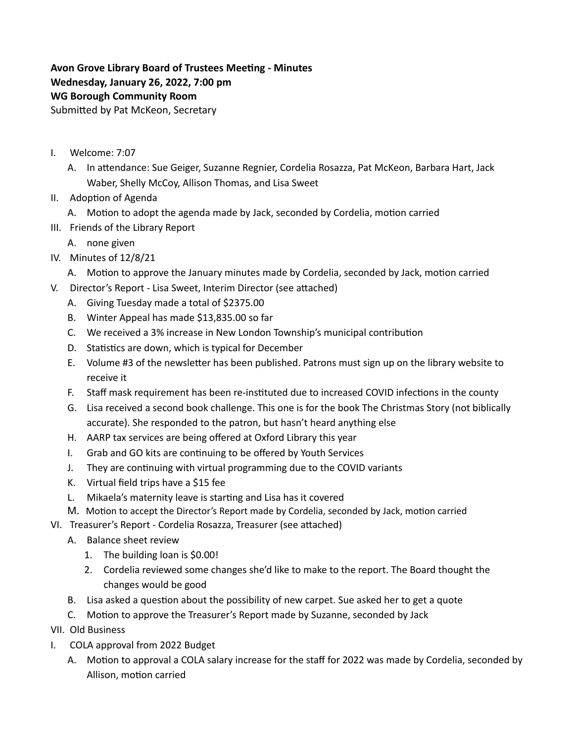## **Avon Grove Library Board of Trustees Meeting - Minutes Wednesday, January 26, 2022, 7:00 pm WG Borough Community Room** Submitted by Pat McKeon, Secretary

- I. Welcome: 7:07
	- A. In attendance: Sue Geiger, Suzanne Regnier, Cordelia Rosazza, Pat McKeon, Barbara Hart, Jack Waber, Shelly McCoy, Allison Thomas, and Lisa Sweet
- II. Adoption of Agenda
	- A. Motion to adopt the agenda made by Jack, seconded by Cordelia, motion carried
- III. Friends of the Library Report
	- A. none given
- IV. Minutes of 12/8/21
	- A. Motion to approve the January minutes made by Cordelia, seconded by Jack, motion carried
- V. Director's Report Lisa Sweet, Interim Director (see attached)
	- A. Giving Tuesday made a total of \$2375.00
	- B. Winter Appeal has made \$13,835.00 so far
	- C. We received a 3% increase in New London Township's municipal contribution
	- D. Statistics are down, which is typical for December
	- E. Volume #3 of the newsletter has been published. Patrons must sign up on the library website to receive it
	- F. Staff mask requirement has been re-instituted due to increased COVID infections in the county
	- G. Lisa received a second book challenge. This one is for the book The Christmas Story (not biblically accurate). She responded to the patron, but hasn't heard anything else
	- H. AARP tax services are being offered at Oxford Library this year
	- I. Grab and GO kits are continuing to be offered by Youth Services
	- J. They are continuing with virtual programming due to the COVID variants
	- K. Virtual field trips have a \$15 fee
	- L. Mikaela's maternity leave is starting and Lisa has it covered
	- M. Motion to accept the Director's Report made by Cordelia, seconded by Jack, motion carried
- VI. Treasurer's Report Cordelia Rosazza, Treasurer (see attached)
	- A. Balance sheet review
		- 1. The building loan is \$0.00!
		- 2. Cordelia reviewed some changes she'd like to make to the report. The Board thought the changes would be good
	- B. Lisa asked a question about the possibility of new carpet. Sue asked her to get a quote
	- C. Motion to approve the Treasurer's Report made by Suzanne, seconded by Jack
- VII. Old Business
- I. COLA approval from 2022 Budget
	- A. Motion to approval a COLA salary increase for the staff for 2022 was made by Cordelia, seconded by Allison, motion carried